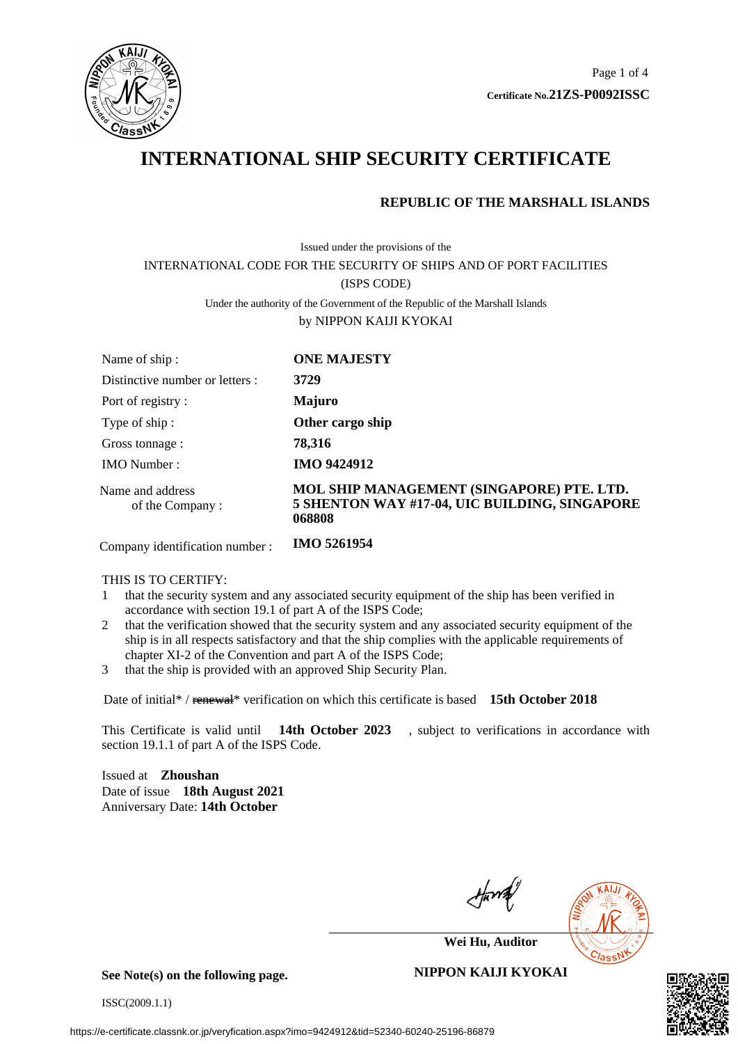

# **INTERNATIONAL SHIP SECURITY CERTIFICATE**

### **REPUBLIC OF THE MARSHALL ISLANDS**

# Issued under the provisions of the INTERNATIONAL CODE FOR THE SECURITY OF SHIPS AND OF PORT FACILITIES (ISPS CODE) Under the authority of the Government of the Republic of the Marshall Islands by NIPPON KAIJI KYOKAI

| Name of ship:                       | <b>ONE MAJESTY</b>                                                                                   |
|-------------------------------------|------------------------------------------------------------------------------------------------------|
| Distinctive number or letters :     | 3729                                                                                                 |
| Port of registry:                   | <b>Majuro</b>                                                                                        |
| Type of ship:                       | Other cargo ship                                                                                     |
| Gross tonnage :                     | 78,316                                                                                               |
| <b>IMO</b> Number:                  | <b>IMO 9424912</b>                                                                                   |
| Name and address<br>of the Company: | MOL SHIP MANAGEMENT (SINGAPORE) PTE. LTD.<br>5 SHENTON WAY #17-04, UIC BUILDING, SINGAPORE<br>068808 |

Company identification number : **IMO 5261954**

#### THIS IS TO CERTIFY:

- 1 that the security system and any associated security equipment of the ship has been verified in accordance with section 19.1 of part A of the ISPS Code;
- 2 that the verification showed that the security system and any associated security equipment of the ship is in all respects satisfactory and that the ship complies with the applicable requirements of chapter XI-2 of the Convention and part A of the ISPS Code;
- 3 that the ship is provided with an approved Ship Security Plan.

Date of initial\* / renewal\* verification on which this certificate is based **15th October 2018**

This Certificate is valid until **14th October 2023** , subject to verifications in accordance with section 19.1.1 of part A of the ISPS Code.

Issued at **Zhoushan** Date of issue **18th August 2021** Anniversary Date: **14th October**



**Wei Hu, Auditor**

**See Note(s) on the following page.**

ISSC(2009.1.1)

#### **NIPPON KAIJI KYOKAI**

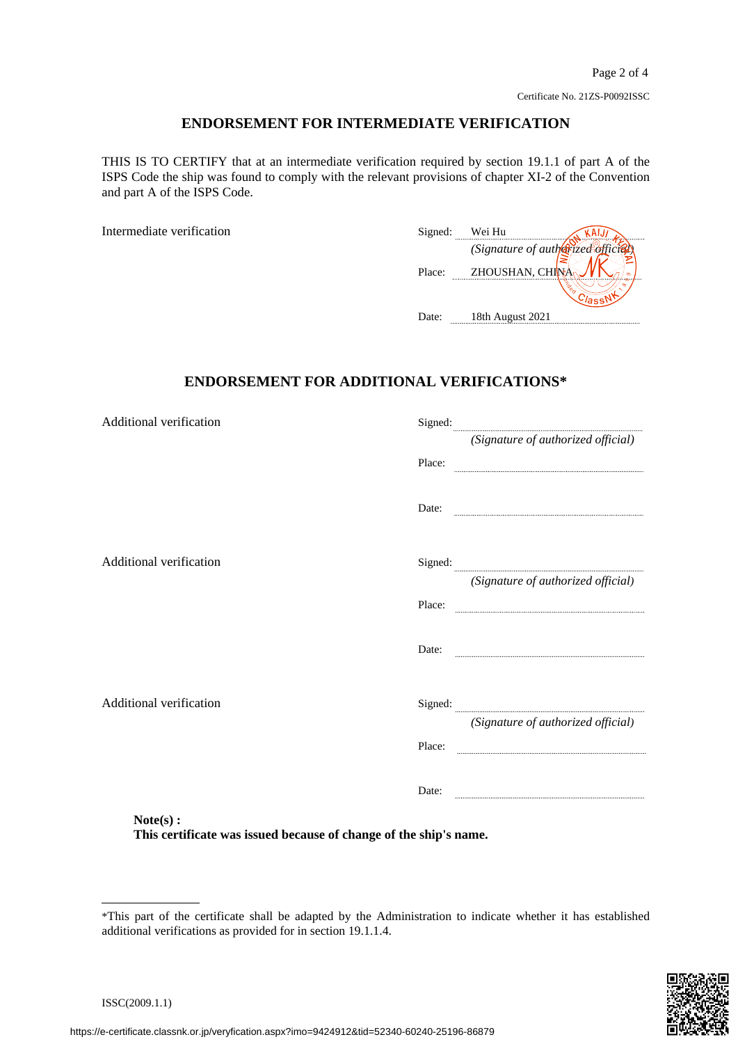#### **ENDORSEMENT FOR INTERMEDIATE VERIFICATION**

THIS IS TO CERTIFY that at an intermediate verification required by section 19.1.1 of part A of the ISPS Code the ship was found to comply with the relevant provisions of chapter XI-2 of the Convention and part A of the ISPS Code.

Intermediate verification

| Signed: | Wei Hu                             |   |
|---------|------------------------------------|---|
|         | (Signature of autherized official) |   |
| Place:  | ZHOUSHAN, CHINY                    | െ |
|         |                                    |   |
| Date:   | 18th August 2021                   |   |

### **ENDORSEMENT FOR ADDITIONAL VERIFICATIONS\***

| Signed: $\frac{1}{\sqrt{2\pi}}$                                   |
|-------------------------------------------------------------------|
| (Signature of authorized official)                                |
| Place:                                                            |
| Date:                                                             |
| Signed:                                                           |
| (Signature of authorized official)                                |
| Place:                                                            |
| Date:                                                             |
|                                                                   |
| (Signature of authorized official)                                |
| Place:                                                            |
| Date:                                                             |
|                                                                   |
| This certificate was issued because of change of the ship's name. |
|                                                                   |

<sup>\*</sup>This part of the certificate shall be adapted by the Administration to indicate whether it has established additional verifications as provided for in section 19.1.1.4.

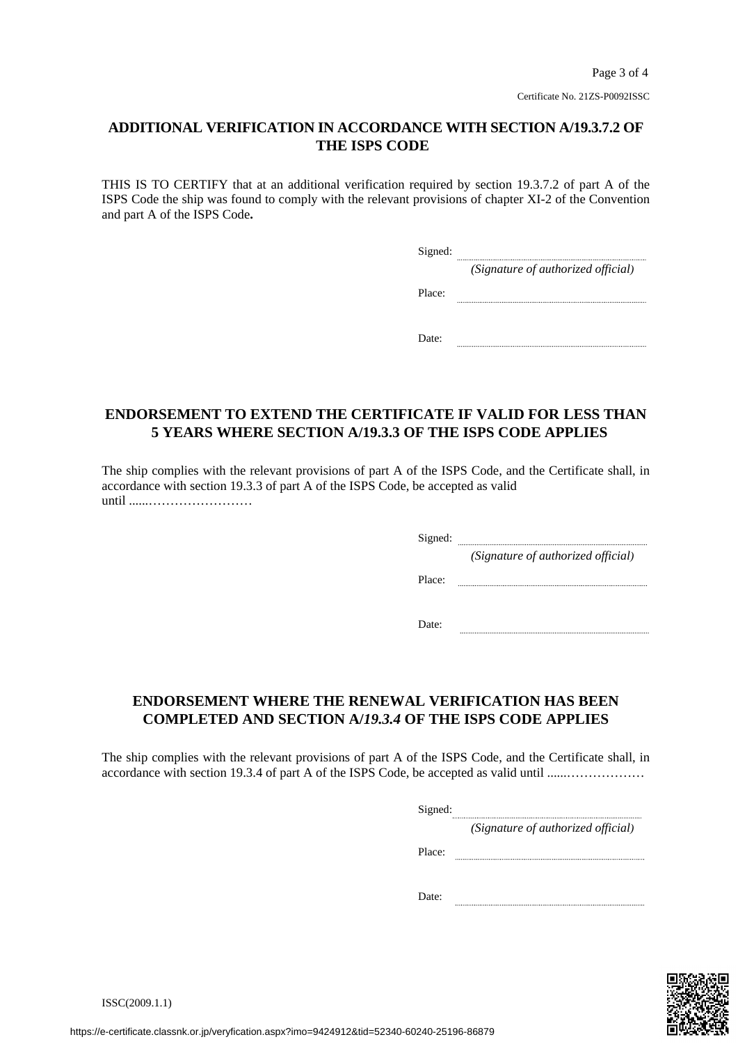### **ADDITIONAL VERIFICATION IN ACCORDANCE WITH SECTION A/19.3.7.2 OF THE ISPS CODE**

THIS IS TO CERTIFY that at an additional verification required by section 19.3.7.2 of part A of the ISPS Code the ship was found to comply with the relevant provisions of chapter XI-2 of the Convention and part A of the ISPS Code**.**

| Signed: |                                    |
|---------|------------------------------------|
|         | (Signature of authorized official) |
| Place:  |                                    |
|         |                                    |
| Date:   |                                    |

## **ENDORSEMENT TO EXTEND THE CERTIFICATE IF VALID FOR LESS THAN 5 YEARS WHERE SECTION A/19.3.3 OF THE ISPS CODE APPLIES**

The ship complies with the relevant provisions of part A of the ISPS Code, and the Certificate shall, in accordance with section 19.3.3 of part A of the ISPS Code, be accepted as valid until ......……………………

Signed:

*(Signature of authorized official)*

Place:

Date: 

# **ENDORSEMENT WHERE THE RENEWAL VERIFICATION HAS BEEN COMPLETED AND SECTION A/***19.3.4* **OF THE ISPS CODE APPLIES**

The ship complies with the relevant provisions of part A of the ISPS Code, and the Certificate shall, in accordance with section 19.3.4 of part A of the ISPS Code, be accepted as valid until ......………………

Signed: *(Signature of authorized official)*

Place:

Date: